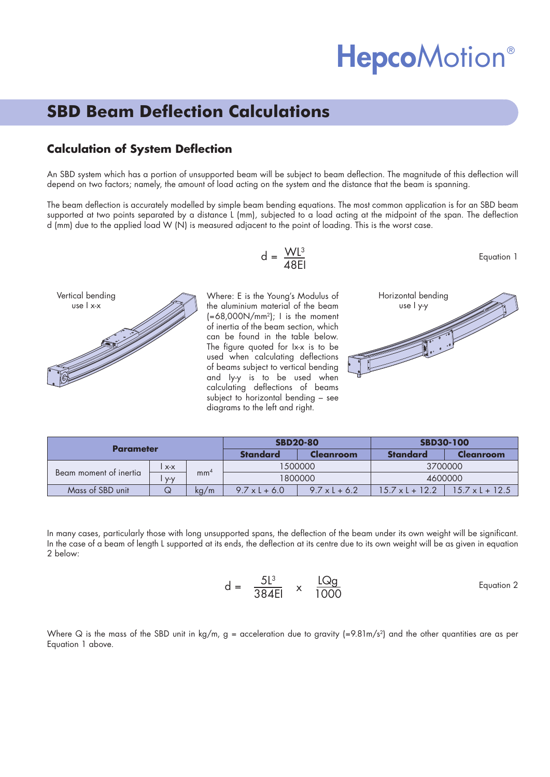# **HepcoMotion®**

## **SBD Beam Deflection Calculations**

### **Calculation of System Deflection**

An SBD system which has a portion of unsupported beam will be subject to beam deflection. The magnitude of this deflection will depend on two factors; namely, the amount of load acting on the system and the distance that the beam is spanning.

The beam deflection is accurately modelled by simple beam bending equations. The most common application is for an SBD beam supported at two points separated by a distance L (mm), subjected to a load acting at the midpoint of the span. The deflection d (mm) due to the applied load W (N) is measured adjacent to the point of loading. This is the worst case.



$$
d = \frac{WL^3}{48EI}
$$

Where: E is the Young's Modulus of the aluminium material of the beam  $(=68,000N/mm^2$ ; I is the moment of inertia of the beam section, which can be found in the table below. The figure quoted for Ix-x is to be used when calculating deflections of beams subject to vertical bending and Iy-y is to be used when calculating deflections of beams subject to horizontal bending – see diagrams to the left and right.



Equation 1

| Parameter              |       |                 | <b>SBD20-80</b>      |                      | <b>SBD30-100</b>       |                        |
|------------------------|-------|-----------------|----------------------|----------------------|------------------------|------------------------|
|                        |       |                 | <b>Standard</b>      | Cleanroom            | <b>Standard</b>        | <b>Cleanroom</b>       |
| Beam moment of inertia | $X-X$ |                 | 1500000              |                      | 3700000                |                        |
|                        | $V-V$ | mm <sup>4</sup> | 1800000              |                      | 4600000                |                        |
| Mass of SBD unit       |       | kg/m            | $9.7 \times 1 + 6.0$ | $9.7 \times 1 + 6.2$ | $15.7 \times 1 + 12.2$ | $15.7 \times 1 + 12.5$ |

In many cases, particularly those with long unsupported spans, the deflection of the beam under its own weight will be significant. In the case of a beam of length L supported at its ends, the deflection at its centre due to its own weight will be as given in equation 2 below:

$$
d = \frac{5l^3}{384El} \times \frac{LQg}{1000}
$$
 Equation 2

Where Q is the mass of the SBD unit in kg/m,  $g =$  acceleration due to gravity  $(=9.81 \text{m/s}^2)$  and the other quantities are as per Equation 1 above.